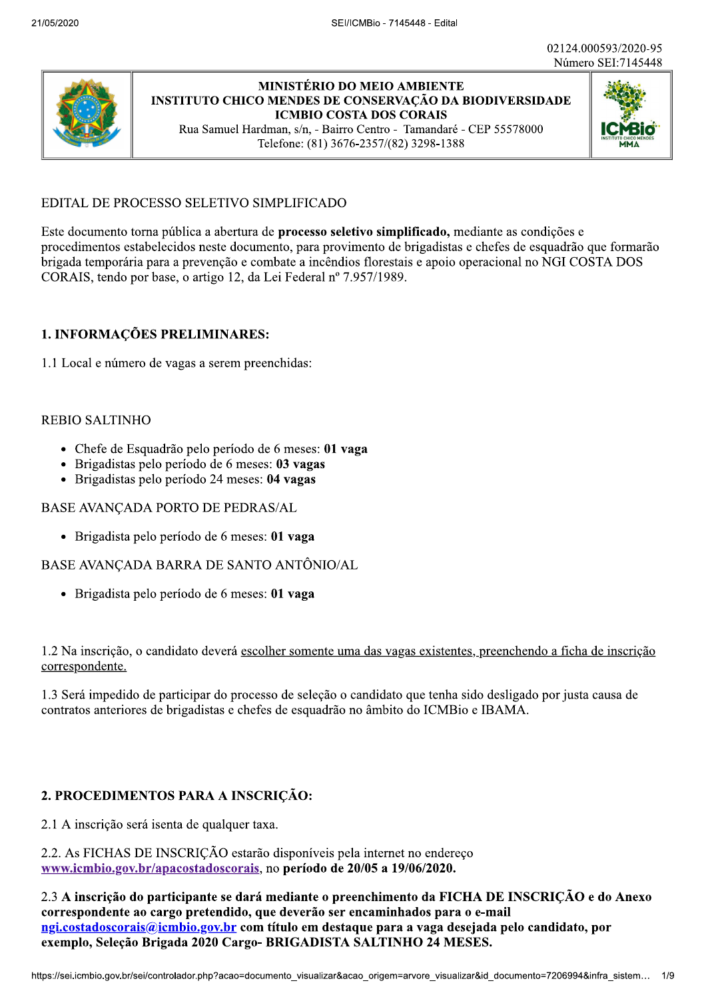

# **MINISTÉRIO DO MEIO AMBIENTE INSTITUTO CHICO MENDES DE CONSERVAÇÃO DA BIODIVERSIDADE ICMBIO COSTA DOS CORAIS**

Rua Samuel Hardman, s/n, - Bairro Centro - Tamandaré - CEP 55578000 Telefone: (81) 3676-2357/(82) 3298-1388



# EDITAL DE PROCESSO SELETIVO SIMPLIFICADO

Este documento torna pública a abertura de processo seletivo simplificado, mediante as condições e procedimentos estabelecidos neste documento, para provimento de brigadistas e chefes de esquadrão que formarão brigada temporária para a prevenção e combate a incêndios florestais e apoio operacional no NGI COSTA DOS CORAIS, tendo por base, o artigo 12, da Lei Federal nº 7.957/1989.

### 1. INFORMAÇÕES PRELIMINARES:

1.1 Local e número de vagas a serem preenchidas:

#### **REBIO SALTINHO**

- Chefe de Esquadrão pelo período de 6 meses: 01 vaga
- Brigadistas pelo período de 6 meses: 03 vagas
- · Brigadistas pelo período 24 meses: 04 vagas

#### BASE AVANÇADA PORTO DE PEDRAS/AL

· Brigadista pelo período de 6 meses: 01 vaga

BASE AVANÇADA BARRA DE SANTO ANTÔNIO/AL

· Brigadista pelo período de 6 meses: 01 vaga

1.2 Na inscrição, o candidato deverá escolher somente uma das vagas existentes, preenchendo a ficha de inscrição correspondente.

1.3 Será impedido de participar do processo de seleção o candidato que tenha sido desligado por justa causa de contratos anteriores de brigadistas e chefes de esquadrão no âmbito do ICMBio e IBAMA.

#### 2. PROCEDIMENTOS PARA A INSCRIÇÃO:

2.1 A inscrição será isenta de qualquer taxa.

2.2. As FICHAS DE INSCRIÇÃO estarão disponíveis pela internet no endereço www.icmbio.gov.br/apacostadoscorais, no período de 20/05 a 19/06/2020.

2.3 A inscrição do participante se dará mediante o preenchimento da FICHA DE INSCRIÇÃO e do Anexo correspondente ao cargo pretendido, que deverão ser encaminhados para o e-mail ngi.costadoscorais@icmbio.gov.br com título em destaque para a vaga desejada pelo candidato, por exemplo, Seleção Brigada 2020 Cargo- BRIGADISTA SALTINHO 24 MESES.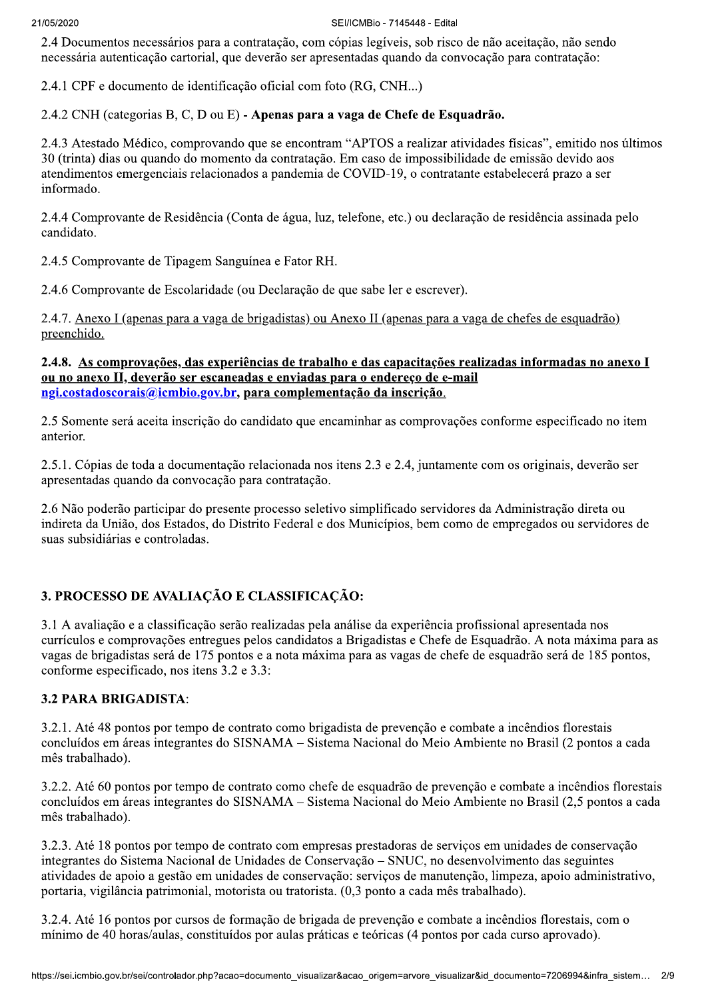2.4 Documentos necessários para a contratação, com cópias legíveis, sob risco de não aceitação, não sendo necessária autenticação cartorial, que deverão ser apresentadas quando da convocação para contratação:

2.4.1 CPF e documento de identificação oficial com foto (RG, CNH...)

2.4.2 CNH (categorias B, C, D ou E) - Apenas para a vaga de Chefe de Esquadrão.

2.4.3 Atestado Médico, comprovando que se encontram "APTOS a realizar atividades físicas", emitido nos últimos 30 (trinta) dias ou quando do momento da contratação. Em caso de impossibilidade de emissão devido aos atendimentos emergenciais relacionados a pandemia de COVID-19, o contratante estabelecerá prazo a ser informado.

2.4.4 Comprovante de Residência (Conta de água, luz, telefone, etc.) ou declaração de residência assinada pelo candidato.

2.4.5 Comprovante de Tipagem Sanguínea e Fator RH.

2.4.6 Comprovante de Escolaridade (ou Declaração de que sabe ler e escrever).

2.4.7. Anexo I (apenas para a vaga de brigadistas) ou Anexo II (apenas para a vaga de chefes de esquadrão) preenchido.

#### 2.4.8. As comprovações, das experiências de trabalho e das capacitações realizadas informadas no anexo I ou no anexo II, deverão ser escaneadas e enviadas para o endereço de e-mail ngi.costadoscorais@icmbio.gov.br, para complementação da inscrição.

2.5 Somente será aceita inscrição do candidato que encaminhar as comprovações conforme especificado no item anterior.

2.5.1. Cópias de toda a documentação relacionada nos itens 2.3 e 2.4, juntamente com os originais, deverão ser apresentadas quando da convocação para contratação.

2.6 Não poderão participar do presente processo seletivo simplificado servidores da Administração direta ou indireta da União, dos Estados, do Distrito Federal e dos Municípios, bem como de empregados ou servidores de suas subsidiárias e controladas.

# 3. PROCESSO DE AVALIAÇÃO E CLASSIFICAÇÃO:

3.1 A avaliação e a classificação serão realizadas pela análise da experiência profissional apresentada nos currículos e comprovações entregues pelos candidatos a Brigadistas e Chefe de Esquadrão. A nota máxima para as vagas de brigadistas será de 175 pontos e a nota máxima para as vagas de chefe de esquadrão será de 185 pontos, conforme especificado, nos itens 3.2 e 3.3:

#### **3.2 PARA BRIGADISTA:**

3.2.1. Até 48 pontos por tempo de contrato como brigadista de prevenção e combate a incêndios florestais concluídos em áreas integrantes do SISNAMA – Sistema Nacional do Meio Ambiente no Brasil (2 pontos a cada mês trabalhado).

3.2.2. Até 60 pontos por tempo de contrato como chefe de esquadrão de prevenção e combate a incêndios florestais concluídos em áreas integrantes do SISNAMA – Sistema Nacional do Meio Ambiente no Brasil (2,5 pontos a cada mês trabalhado).

3.2.3. Até 18 pontos por tempo de contrato com empresas prestadoras de servicos em unidades de conservação integrantes do Sistema Nacional de Unidades de Conservação – SNUC, no desenvolvimento das seguintes atividades de apoio a gestão em unidades de conservação: serviços de manutenção, limpeza, apoio administrativo, portaria, vigilância patrimonial, motorista ou tratorista. (0,3 ponto a cada mês trabalhado).

3.2.4. Até 16 pontos por cursos de formação de brigada de prevenção e combate a incêndios florestais, com o mínimo de 40 horas/aulas, constituídos por aulas práticas e teóricas (4 pontos por cada curso aprovado).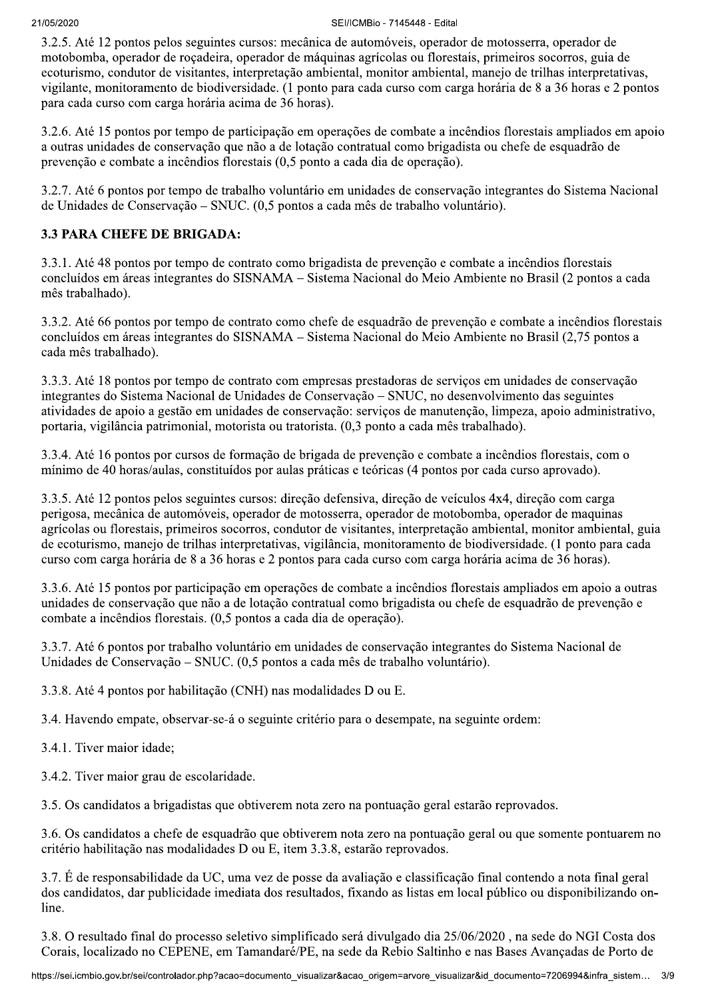3.2.5. Até 12 pontos pelos seguintes cursos: mecânica de automóveis, operador de motosserra, operador de motobomba, operador de roçadeira, operador de máquinas agrícolas ou florestais, primeiros socorros, guia de ecoturismo, condutor de visitantes, interpretação ambiental, monitor ambiental, manejo de trilhas interpretativas, vigilante, monitoramento de biodiversidade. (1 ponto para cada curso com carga horária de 8 a 36 horas e 2 pontos para cada curso com carga horária acima de 36 horas).

3.2.6. Até 15 pontos por tempo de participação em operações de combate a incêndios florestais ampliados em apoio a outras unidades de conservação que não a de lotação contratual como brigadista ou chefe de esquadrão de prevenção e combate a incêndios florestais (0,5 ponto a cada dia de operação).

3.2.7. Até 6 pontos por tempo de trabalho voluntário em unidades de conservação integrantes do Sistema Nacional de Unidades de Conservação – SNUC. (0,5 pontos a cada mês de trabalho voluntário).

### **3.3 PARA CHEFE DE BRIGADA:**

3.3.1. Até 48 pontos por tempo de contrato como brigadista de prevenção e combate a incêndios florestais concluídos em áreas integrantes do SISNAMA – Sistema Nacional do Meio Ambiente no Brasil (2 pontos a cada mês trabalhado).

3.3.2. Até 66 pontos por tempo de contrato como chefe de esquadrão de prevenção e combate a incêndios florestais concluídos em áreas integrantes do SISNAMA – Sistema Nacional do Meio Ambiente no Brasil (2,75 pontos a cada mês trabalhado).

3.3.3. Até 18 pontos por tempo de contrato com empresas prestadoras de serviços em unidades de conservação integrantes do Sistema Nacional de Unidades de Conservação – SNUC, no desenvolvimento das seguintes atividades de apoio a gestão em unidades de conservação: serviços de manutenção, limpeza, apoio administrativo, portaria, vigilância patrimonial, motorista ou tratorista. (0,3 ponto a cada mês trabalhado).

3.3.4. Até 16 pontos por cursos de formação de brigada de prevenção e combate a incêndios florestais, com o mínimo de 40 horas/aulas, constituídos por aulas práticas e teóricas (4 pontos por cada curso aprovado).

3.3.5. Até 12 pontos pelos seguintes cursos: direção defensiva, direção de veículos 4x4, direção com carga perigosa, mecânica de automóveis, operador de motosserra, operador de motobomba, operador de maquinas agrícolas ou florestais, primeiros socorros, condutor de visitantes, interpretação ambiental, monitor ambiental, guia de ecoturismo, manejo de trilhas interpretativas, vigilância, monitoramento de biodiversidade. (1 ponto para cada curso com carga horária de 8 a 36 horas e 2 pontos para cada curso com carga horária acima de 36 horas).

3.3.6. Até 15 pontos por participação em operações de combate a incêndios florestais ampliados em apoio a outras unidades de conservação que não a de lotação contratual como brigadista ou chefe de esquadrão de prevenção e combate a incêndios florestais. (0,5 pontos a cada dia de operação).

3.3.7. Até 6 pontos por trabalho voluntário em unidades de conservação integrantes do Sistema Nacional de Unidades de Conservação – SNUC. (0,5 pontos a cada mês de trabalho voluntário).

3.3.8. Até 4 pontos por habilitação (CNH) nas modalidades D ou E.

3.4. Havendo empate, observar-se-á o seguinte critério para o desempate, na seguinte ordem:

3.4.1. Tiver maior idade:

3.4.2. Tiver maior grau de escolaridade.

3.5. Os candidatos a brigadistas que obtiverem nota zero na pontuação geral estarão reprovados.

3.6. Os candidatos a chefe de esquadrão que obtiverem nota zero na pontuação geral ou que somente pontuarem no critério habilitação nas modalidades D ou E, item 3.3.8, estarão reprovados.

3.7. É de responsabilidade da UC, uma vez de posse da avaliação e classificação final contendo a nota final geral dos candidatos, dar publicidade imediata dos resultados, fixando as listas em local público ou disponibilizando online.

3.8. O resultado final do processo seletivo simplificado será divulgado dia 25/06/2020, na sede do NGI Costa dos Corais, localizado no CEPENE, em Tamandaré/PE, na sede da Rebio Saltinho e nas Bases Avançadas de Porto de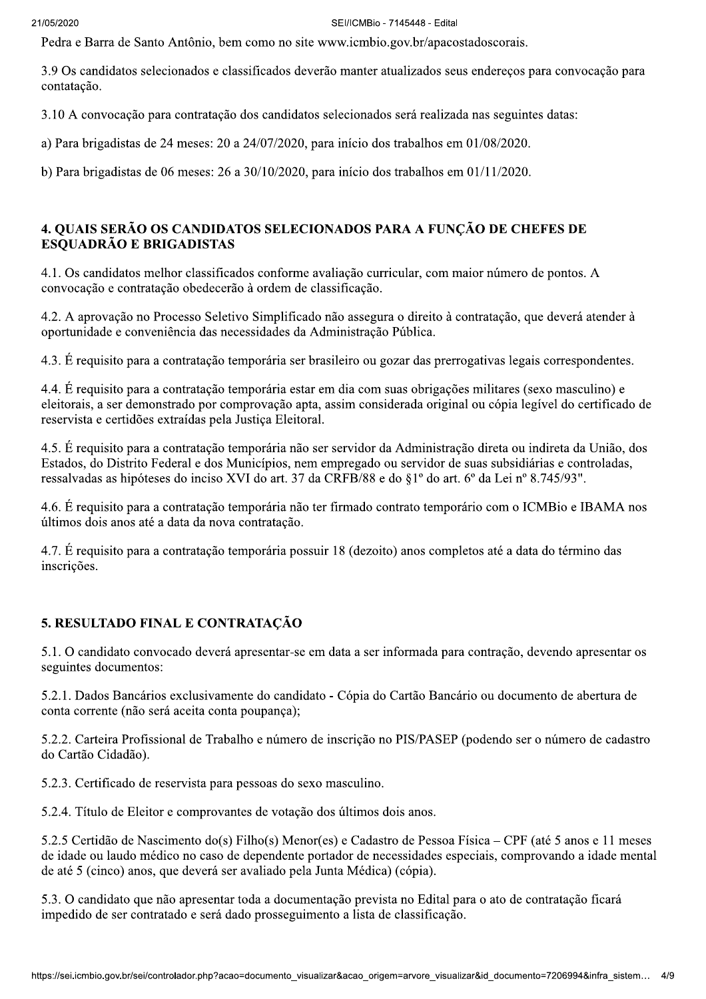Pedra e Barra de Santo Antônio, bem como no site www.icmbio.gov.br/apacostadoscorais.

3.9 Os candidatos selecionados e classificados deverão manter atualizados seus endereços para convocação para contatação.

3.10 A convocação para contratação dos candidatos selecionados será realizada nas seguintes datas:

a) Para brigadistas de 24 meses: 20 a 24/07/2020, para início dos trabalhos em 01/08/2020.

b) Para brigadistas de 06 meses: 26 a  $30/10/2020$ , para início dos trabalhos em  $01/11/2020$ .

### 4. QUAIS SERÃO OS CANDIDATOS SELECIONADOS PARA A FUNCÃO DE CHEFES DE **ESQUADRÃO E BRIGADISTAS**

4.1. Os candidatos melhor classificados conforme avaliação curricular, com maior número de pontos. A convocação e contratação obedecerão à ordem de classificação.

4.2. A aprovação no Processo Seletivo Simplificado não assegura o direito à contratação, que deverá atender à oportunidade e conveniência das necessidades da Administração Pública.

4.3. É requisito para a contratação temporária ser brasileiro ou gozar das prerrogativas legais correspondentes.

4.4. É requisito para a contratação temporária estar em dia com suas obrigações militares (sexo masculino) e eleitorais, a ser demonstrado por comprovação apta, assim considerada original ou cópia legível do certificado de reservista e certidões extraídas pela Justica Eleitoral.

4.5. É requisito para a contratação temporária não ser servidor da Administração direta ou indireta da União, dos Estados, do Distrito Federal e dos Municípios, nem empregado ou servidor de suas subsidiárias e controladas, ressalvadas as hipóteses do inciso XVI do art. 37 da CRFB/88 e do §1º do art. 6º da Lei nº 8.745/93".

4.6. É requisito para a contratação temporária não ter firmado contrato temporário com o ICMBio e IBAMA nos últimos dois anos até a data da nova contratação.

4.7. É requisito para a contratação temporária possuir 18 (dezoito) anos completos até a data do término das inscrições.

# 5. RESULTADO FINAL E CONTRATACÃO

5.1. O candidato convocado deverá apresentar-se em data a ser informada para contração, devendo apresentar os seguintes documentos:

5.2.1. Dados Bancários exclusivamente do candidato - Cópia do Cartão Bancário ou documento de abertura de conta corrente (não será aceita conta poupança);

5.2.2. Carteira Profissional de Trabalho e número de inscrição no PIS/PASEP (podendo ser o número de cadastro do Cartão Cidadão).

5.2.3. Certificado de reservista para pessoas do sexo masculino.

5.2.4. Título de Eleitor e comprovantes de votação dos últimos dois anos.

5.2.5 Certidão de Nascimento do(s) Filho(s) Menor(es) e Cadastro de Pessoa Física – CPF (até 5 anos e 11 meses de idade ou laudo médico no caso de dependente portador de necessidades especiais, comprovando a idade mental de até 5 (cinco) anos, que deverá ser avaliado pela Junta Médica) (cópia).

5.3. O candidato que não apresentar toda a documentação prevista no Edital para o ato de contratação ficará impedido de ser contratado e será dado prosseguimento a lista de classificação.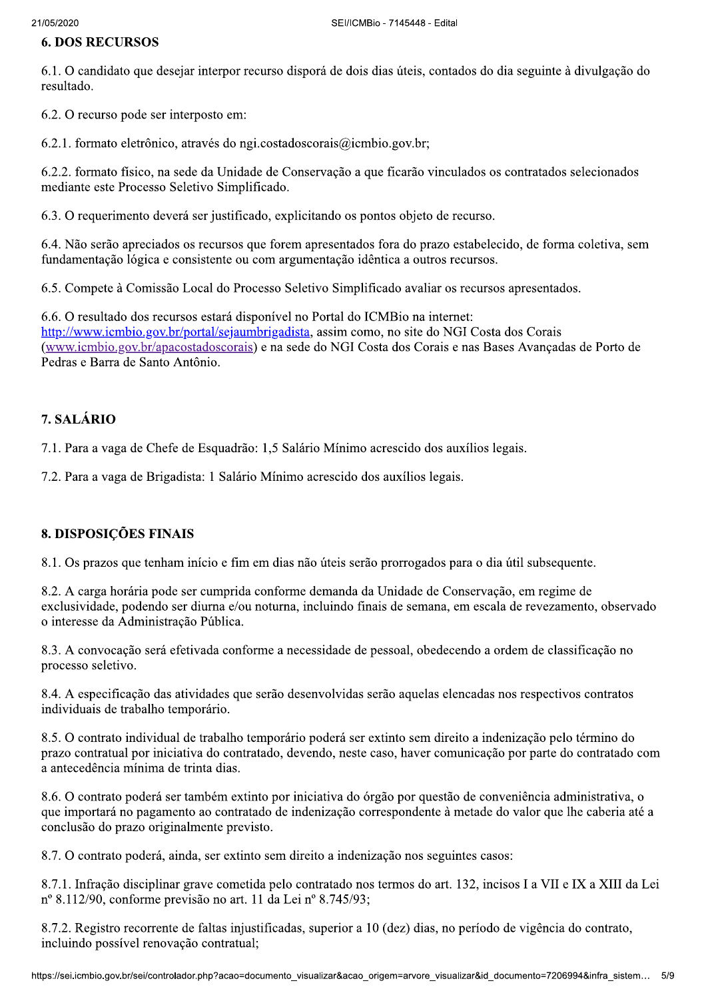#### **6. DOS RECURSOS**

6.1. O candidato que desejar interpor recurso disporá de dois dias úteis, contados do dia seguinte à divulgação do resultado.

6.2. O recurso pode ser interposto em:

6.2.1. formato eletrônico, através do ngi.costadoscorais@icmbio.gov.br;

6.2.2. formato físico, na sede da Unidade de Conservação a que ficarão vinculados os contratados selecionados mediante este Processo Seletivo Simplificado.

6.3. O requerimento deverá ser justificado, explicitando os pontos objeto de recurso.

6.4. Não serão apreciados os recursos que forem apresentados fora do prazo estabelecido, de forma coletiva, sem fundamentação lógica e consistente ou com argumentação idêntica a outros recursos.

6.5. Compete à Comissão Local do Processo Seletivo Simplificado avaliar os recursos apresentados.

6.6. O resultado dos recursos estará disponível no Portal do ICMBio na internet: http://www.icmbio.gov.br/portal/sejaumbrigadista, assim como, no site do NGI Costa dos Corais (www.icmbio.gov.br/apacostadoscorais) e na sede do NGI Costa dos Corais e nas Bases Avancadas de Porto de Pedras e Barra de Santo Antônio.

# 7. SALÁRIO

7.1. Para a vaga de Chefe de Esquadrão: 1,5 Salário Mínimo acrescido dos auxílios legais.

7.2. Para a vaga de Brigadista: 1 Salário Mínimo acrescido dos auxílios legais.

#### 8. DISPOSIÇÕES FINAIS

8.1. Os prazos que tenham início e fim em dias não úteis serão prorrogados para o dia útil subsequente.

8.2. A carga horária pode ser cumprida conforme demanda da Unidade de Conservação, em regime de exclusividade, podendo ser diurna e/ou noturna, incluindo finais de semana, em escala de revezamento, observado o interesse da Administração Pública.

8.3. A convocação será efetivada conforme a necessidade de pessoal, obedecendo a ordem de classificação no processo seletivo.

8.4. A especificação das atividades que serão desenvolvidas serão aquelas elencadas nos respectivos contratos individuais de trabalho temporário.

8.5. O contrato individual de trabalho temporário poderá ser extinto sem direito a indenização pelo término do prazo contratual por iniciativa do contratado, devendo, neste caso, haver comunicação por parte do contratado com a antecedência mínima de trinta dias.

8.6. O contrato poderá ser também extinto por iniciativa do órgão por questão de conveniência administrativa, o que importará no pagamento ao contratado de indenização correspondente à metade do valor que lhe caberia até a conclusão do prazo originalmente previsto.

8.7. O contrato poderá, ainda, ser extinto sem direito a indenização nos seguintes casos:

8.7.1. Infração disciplinar grave cometida pelo contratado nos termos do art. 132, incisos I a VII e IX a XIII da Lei nº 8.112/90, conforme previsão no art. 11 da Lei nº 8.745/93;

8.7.2. Registro recorrente de faltas injustificadas, superior a 10 (dez) dias, no período de vigência do contrato, incluindo possível renovação contratual;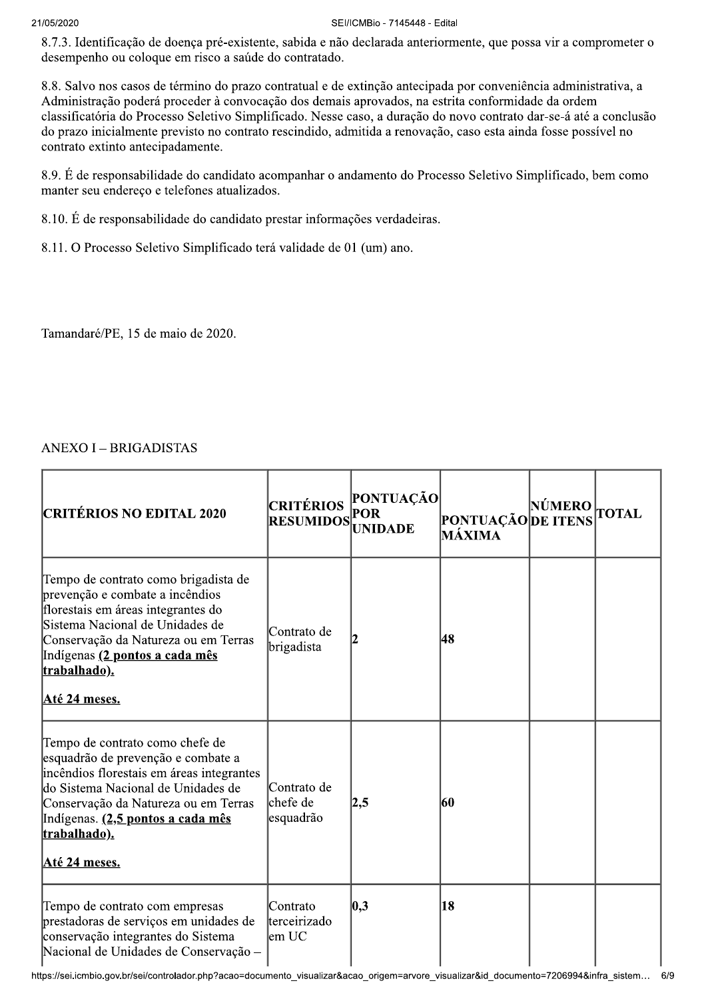#### 21/05/2020

#### SEI/ICMBio - 7145448 - Edital

8.7.3. Identificação de doença pré-existente, sabida e não declarada anteriormente, que possa vir a comprometer o desempenho ou coloque em risco a saúde do contratado.

8.8. Salvo nos casos de término do prazo contratual e de extinção antecipada por conveniência administrativa, a Administração poderá proceder à convocação dos demais aprovados, na estrita conformidade da ordem classificatória do Processo Seletivo Simplificado. Nesse caso, a duração do novo contrato dar-se-á até a conclusão do prazo inicialmente previsto no contrato rescindido, admitida a renovação, caso esta ainda fosse possível no contrato extinto antecipadamente.

8.9. É de responsabilidade do candidato acompanhar o andamento do Processo Seletivo Simplificado, bem como manter seu endereço e telefones atualizados.

8.10. É de responsabilidade do candidato prestar informações verdadeiras.

8.11. O Processo Seletivo Simplificado terá validade de 01 (um) ano.

Tamandaré/PE, 15 de maio de 2020.

# **ANEXO I - BRIGADISTAS**

| <b>CRITÉRIOS NO EDITAL 2020</b>                                                                                                                                                                                                                                        | <b>CRITÉRIOS</b><br><b>RESUMIDOS</b> | PONTUAÇÃO<br><b>POR</b><br><b>UNIDADE</b> | <b>PONTUAÇÃO DE ITENS</b><br>MÁXIMA | NÚMERO | <b>TOTAL</b> |
|------------------------------------------------------------------------------------------------------------------------------------------------------------------------------------------------------------------------------------------------------------------------|--------------------------------------|-------------------------------------------|-------------------------------------|--------|--------------|
| Tempo de contrato como brigadista de<br>prevenção e combate a incêndios<br>florestais em áreas integrantes do<br>Sistema Nacional de Unidades de<br>Conservação da Natureza ou em Terras<br>Indígenas (2 pontos a cada mês<br>trabalhado).<br>Até 24 meses.            | Contrato de<br>brigadista            |                                           | 48                                  |        |              |
| Tempo de contrato como chefe de<br>esquadrão de prevenção e combate a<br>incêndios florestais em áreas integrantes<br>do Sistema Nacional de Unidades de<br>Conservação da Natureza ou em Terras<br>Indígenas. (2,5 pontos a cada mês<br>trabalhado).<br>Até 24 meses. | Contrato de<br>chefe de<br>esquadrão | 2,5                                       | 60                                  |        |              |
| Tempo de contrato com empresas<br>prestadoras de serviços em unidades de<br>conservação integrantes do Sistema<br>Nacional de Unidades de Conservação -                                                                                                                | Contrato<br>lterceirizado<br>lem UC  | 0,3                                       | 18                                  |        |              |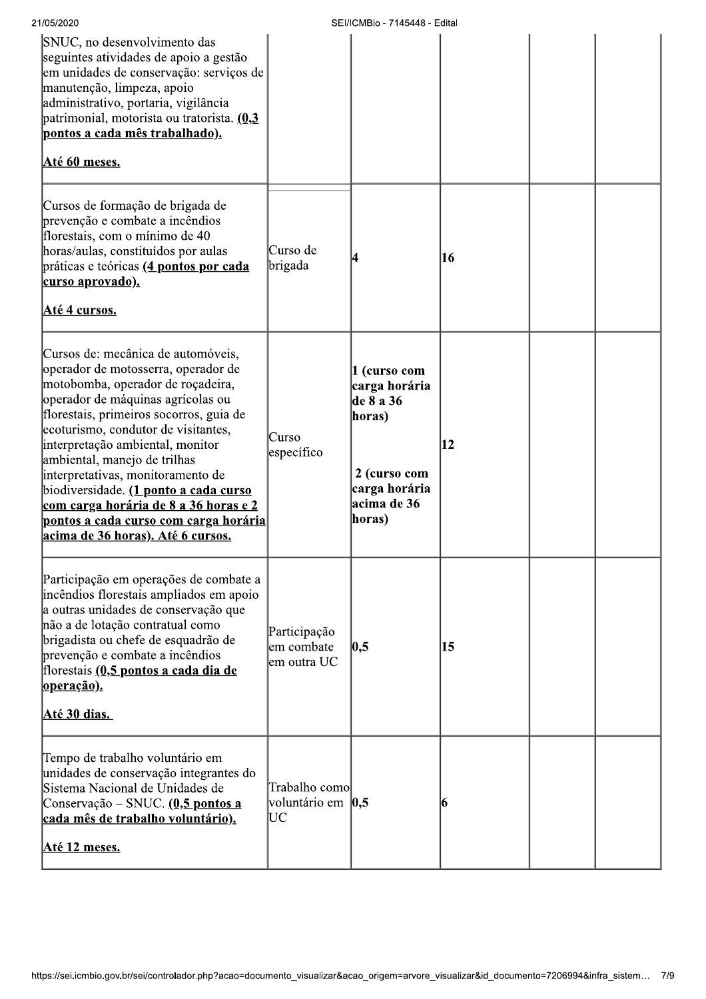| 21/05/2020                                                                                                                                                                                                                                                                                                                                                                                                                                                                                                                                  |                                            | SEI/ICMBio - 7145448 - Edital                                                                                  |    |  |
|---------------------------------------------------------------------------------------------------------------------------------------------------------------------------------------------------------------------------------------------------------------------------------------------------------------------------------------------------------------------------------------------------------------------------------------------------------------------------------------------------------------------------------------------|--------------------------------------------|----------------------------------------------------------------------------------------------------------------|----|--|
| SNUC, no desenvolvimento das<br>seguintes atividades de apoio a gestão<br>em unidades de conservação: serviços de<br>manutenção, limpeza, apoio<br>administrativo, portaria, vigilância<br>patrimonial, motorista ou tratorista. (0,3<br>pontos a cada mês trabalhado).<br>Até 60 meses.                                                                                                                                                                                                                                                    |                                            |                                                                                                                |    |  |
| Cursos de formação de brigada de<br>prevenção e combate a incêndios<br>florestais, com o mínimo de 40<br>horas/aulas, constituídos por aulas<br>práticas e teóricas (4 pontos por cada<br><u>curso aprovado).</u><br>Até 4 cursos.                                                                                                                                                                                                                                                                                                          | Curso de<br>brigada                        | 14                                                                                                             | 16 |  |
| Cursos de: mecânica de automóveis,<br>operador de motosserra, operador de<br>motobomba, operador de roçadeira,<br>operador de máquinas agrícolas ou<br>florestais, primeiros socorros, guia de<br>ecoturismo, condutor de visitantes,<br>interpretação ambiental, monitor<br>ambiental, manejo de trilhas<br>interpretativas, monitoramento de<br>biodiversidade. ( <b>1 ponto a cada curso</b><br><u>com carga horária de 8 a 36 horas e 2</u><br><u>pontos a cada curso com carga horária</u><br><u>acima de 36 horas). Até 6 cursos.</u> | Curso<br>específico                        | 1 (curso com<br>carga horária<br>de 8 a 36<br>horas)<br>2 (curso com<br>carga horária<br>acima de 36<br>horas) | 12 |  |
| Participação em operações de combate a<br>incêndios florestais ampliados em apoio<br>a outras unidades de conservação que<br>não a de lotação contratual como<br>brigadista ou chefe de esquadrão de<br>prevenção e combate a incêndios<br>florestais (0,5 pontos a cada dia de<br><u> operação).</u><br><u>Até 30 dias. </u>                                                                                                                                                                                                               | Participação<br>em combate<br>lem outra UC | 0,5                                                                                                            | 15 |  |
| Tempo de trabalho voluntário em<br>unidades de conservação integrantes do<br>Sistema Nacional de Unidades de<br>Conservação – SNUC. (0,5 pontos a<br><u>cada mês de trabalho voluntário).</u><br><u>Até 12 meses.</u>                                                                                                                                                                                                                                                                                                                       | Trabalho como<br>voluntário em 0,5<br>UС   |                                                                                                                | 16 |  |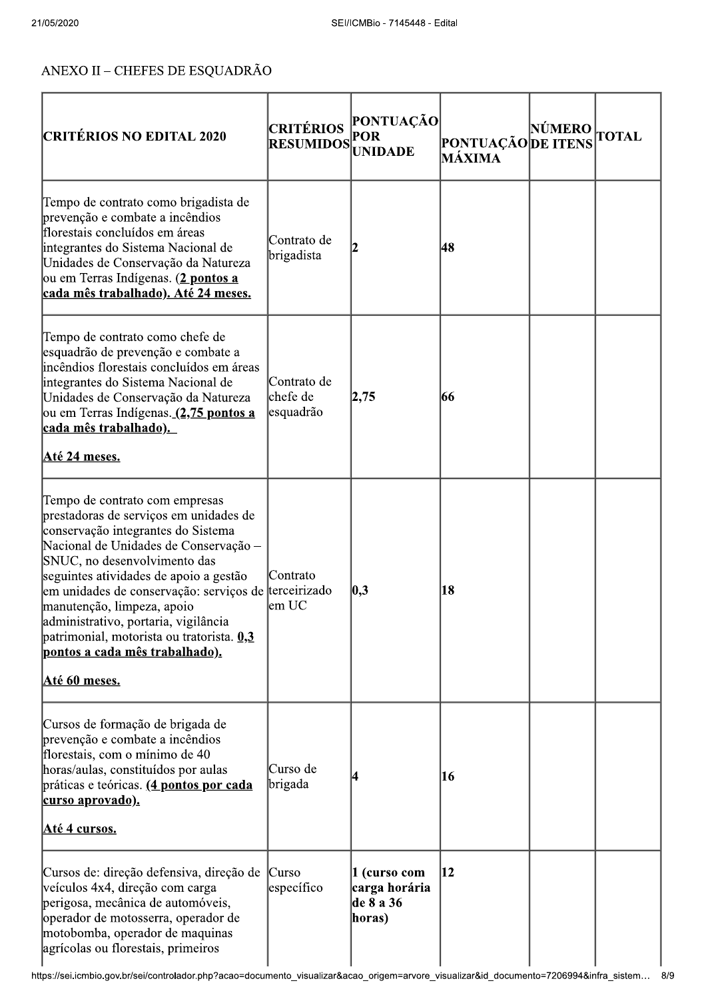# $ANEXO$  II – CHEFES DE ESQUADRÃO

| <b>CRITÉRIOS NO EDITAL 2020</b>                                                                                                                                                                                                                                                                                                                                                                                                                                        | <b>CRITÉRIOS</b><br><b>RESUMIDOS</b> | <b>PONTUAÇÃO</b><br>POR<br><b>UNIDADE</b>            | <b>PONTUAÇÃO DE ITENS</b><br>MÁXIMA | NÚMERO | <b>TOTAL</b> |
|------------------------------------------------------------------------------------------------------------------------------------------------------------------------------------------------------------------------------------------------------------------------------------------------------------------------------------------------------------------------------------------------------------------------------------------------------------------------|--------------------------------------|------------------------------------------------------|-------------------------------------|--------|--------------|
| Tempo de contrato como brigadista de<br>prevenção e combate a incêndios<br>florestais concluídos em áreas<br>integrantes do Sistema Nacional de<br>Unidades de Conservação da Natureza<br>ou em Terras Indígenas. (2 pontos a<br>cada mês trabalhado). Até 24 meses.                                                                                                                                                                                                   | Contrato de<br>brigadista            |                                                      | 48                                  |        |              |
| Tempo de contrato como chefe de<br>esquadrão de prevenção e combate a<br>incêndios florestais concluídos em áreas<br>integrantes do Sistema Nacional de<br>Unidades de Conservação da Natureza<br>ou em Terras Indígenas. (2,75 pontos a<br>cada mês trabalhado).<br><u>Até 24 meses.</u>                                                                                                                                                                              | Contrato de<br>chefe de<br>esquadrão | 2,75                                                 | 66                                  |        |              |
| Tempo de contrato com empresas<br>prestadoras de serviços em unidades de<br>conservação integrantes do Sistema<br>Nacional de Unidades de Conservação -<br>SNUC, no desenvolvimento das<br>seguintes atividades de apoio a gestão<br>em unidades de conservação: serviços de terceirizado<br>manutenção, limpeza, apoio<br>administrativo, portaria, vigilância<br>patrimonial, motorista ou tratorista. 0,3<br>pontos a cada mês trabalhado).<br><u>Até 60 meses.</u> | Contrato<br>em UC                    | $ 0,3\rangle$                                        | 18                                  |        |              |
| Cursos de formação de brigada de<br>prevenção e combate a incêndios<br>florestais, com o mínimo de 40<br>horas/aulas, constituídos por aulas<br>práticas e teóricas. (4 pontos por cada<br>curso aprovado).<br>Até 4 cursos.                                                                                                                                                                                                                                           | Curso de<br> brigada                 |                                                      | 16                                  |        |              |
| Cursos de: direção defensiva, direção de<br>veículos 4x4, direção com carga<br>perigosa, mecânica de automóveis,<br>operador de motosserra, operador de<br>motobomba, operador de maquinas<br>agrícolas ou florestais, primeiros                                                                                                                                                                                                                                       | Curso<br>específico                  | 1 (curso com<br>carga horária<br>de 8 a 36<br>horas) | 12                                  |        |              |